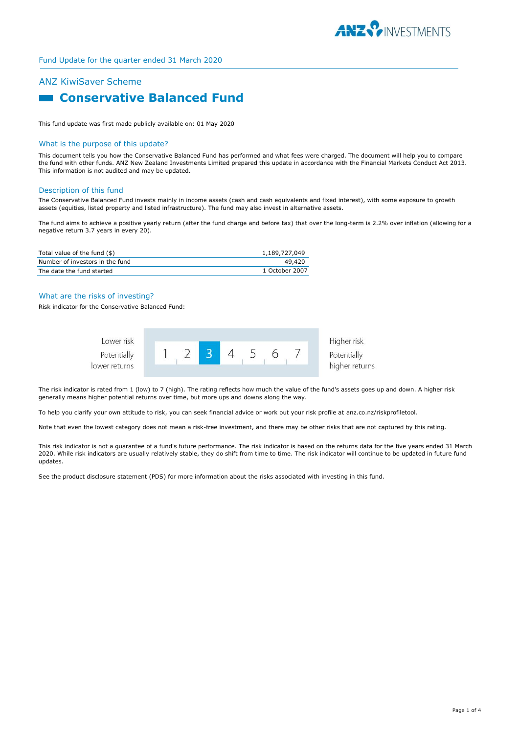

# ANZ KiwiSaver Scheme

# **Example 3 Conservative Balanced Fund**

This fund update was first made publicly available on: 01 May 2020

#### What is the purpose of this update?

This document tells you how the Conservative Balanced Fund has performed and what fees were charged. The document will help you to compare the fund with other funds. ANZ New Zealand Investments Limited prepared this update in accordance with the Financial Markets Conduct Act 2013. This information is not audited and may be updated.

#### Description of this fund

The Conservative Balanced Fund invests mainly in income assets (cash and cash equivalents and fixed interest), with some exposure to growth assets (equities, listed property and listed infrastructure). The fund may also invest in alternative assets.

The fund aims to achieve a positive yearly return (after the fund charge and before tax) that over the long-term is 2.2% over inflation (allowing for a negative return 3.7 years in every 20).

| Total value of the fund (\$)    | 1,189,727,049  |
|---------------------------------|----------------|
| Number of investors in the fund | 49.420         |
| The date the fund started       | 1 October 2007 |

## What are the risks of investing?

Risk indicator for the Conservative Balanced Fund:



The risk indicator is rated from 1 (low) to 7 (high). The rating reflects how much the value of the fund's assets goes up and down. A higher risk generally means higher potential returns over time, but more ups and downs along the way.

To help you clarify your own attitude to risk, you can seek financial advice or work out your risk profile at anz.co.nz/riskprofiletool.

Note that even the lowest category does not mean a risk-free investment, and there may be other risks that are not captured by this rating.

This risk indicator is not a guarantee of a fund's future performance. The risk indicator is based on the returns data for the five years ended 31 March 2020. While risk indicators are usually relatively stable, they do shift from time to time. The risk indicator will continue to be updated in future fund updates.

See the product disclosure statement (PDS) for more information about the risks associated with investing in this fund.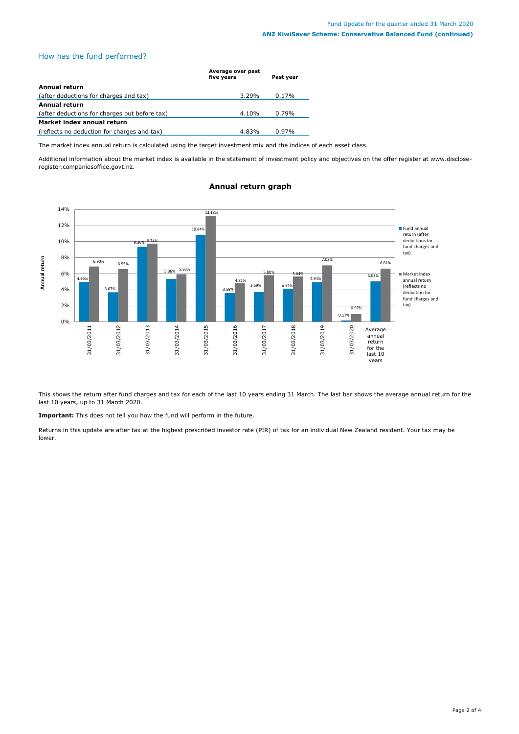# How has the fund performed?

|                                               | Average over past<br>five years | Past year |
|-----------------------------------------------|---------------------------------|-----------|
| Annual return                                 |                                 |           |
| (after deductions for charges and tax)        | $3.29\%$                        | $0.17\%$  |
| <b>Annual return</b>                          |                                 |           |
| (after deductions for charges but before tax) | 4.10%                           | $0.79\%$  |
| Market index annual return                    |                                 |           |
| (reflects no deduction for charges and tax)   | 4.83%                           | $0.97\%$  |

The market index annual return is calculated using the target investment mix and the indices of each asset class.

Additional information about the market index is available in the statement of investment policy and objectives on the offer register at www.discloseregister.companiesoffice.govt.nz.



# **Annual return graph**

This shows the return after fund charges and tax for each of the last 10 years ending 31 March. The last bar shows the average annual return for the last 10 years, up to 31 March 2020.

**Important:** This does not tell you how the fund will perform in the future.

Returns in this update are after tax at the highest prescribed investor rate (PIR) of tax for an individual New Zealand resident. Your tax may be lower.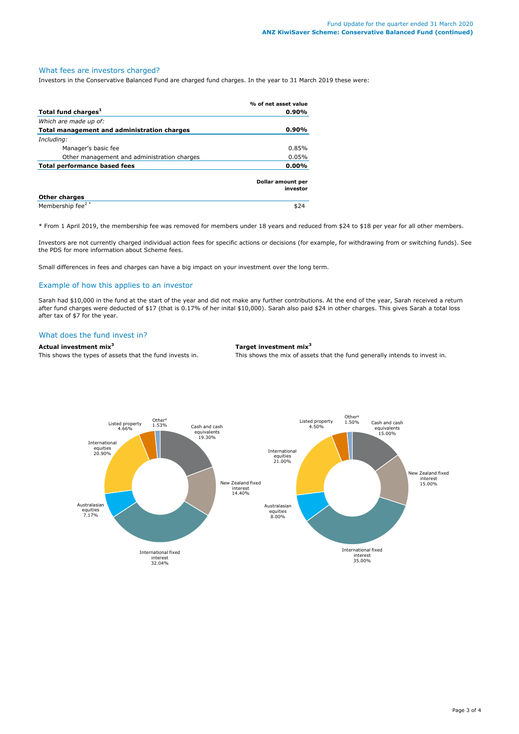# What fees are investors charged?

Investors in the Conservative Balanced Fund are charged fund charges. In the year to 31 March 2019 these were:

|                                             | % of net asset value          |  |
|---------------------------------------------|-------------------------------|--|
| Total fund charges <sup>1</sup>             | $0.90\%$                      |  |
| Which are made up of:                       |                               |  |
| Total management and administration charges | $0.90\%$                      |  |
| Including:                                  |                               |  |
| Manager's basic fee                         | 0.85%                         |  |
| Other management and administration charges | 0.05%                         |  |
| Total performance based fees                | $0.00\%$                      |  |
|                                             | Dollar amount per<br>investor |  |
| <b>Other charges</b>                        |                               |  |
| Membership fee <sup>2*</sup>                | \$24                          |  |

\* From 1 April 2019, the membership fee was removed for members under 18 years and reduced from \$24 to \$18 per year for all other members.

Investors are not currently charged individual action fees for specific actions or decisions (for example, for withdrawing from or switching funds). See the PDS for more information about Scheme fees.

Small differences in fees and charges can have a big impact on your investment over the long term.

# Example of how this applies to an investor

Sarah had \$10,000 in the fund at the start of the year and did not make any further contributions. At the end of the year, Sarah received a return after fund charges were deducted of \$17 (that is 0.17% of her inital \$10,000). Sarah also paid \$24 in other charges. This gives Sarah a total loss after tax of \$7 for the year.

# What does the fund invest in?

**Actual investment mix<sup>3</sup> Target investment mix<sup>3</sup>**

This shows the types of assets that the fund invests in. This shows the mix of assets that the fund generally intends to invest in.